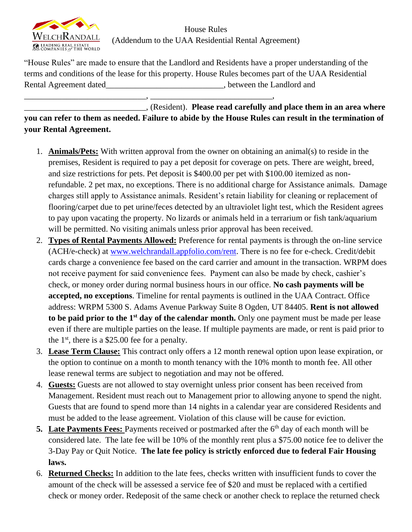

House Rules (Addendum to the UAA Residential Rental Agreement)

"House Rules" are made to ensure that the Landlord and Residents have a proper understanding of the terms and conditions of the lease for this property. House Rules becomes part of the UAA Residential Rental Agreement dated\_\_\_\_\_\_\_\_\_\_\_\_\_\_\_\_\_\_\_\_\_\_\_\_\_\_\_\_, between the Landlord and

\_\_\_\_\_\_\_\_\_\_\_\_\_\_\_\_\_\_\_\_\_\_\_\_\_\_\_\_\_, \_\_\_\_\_\_\_\_\_\_\_\_\_\_\_\_\_\_\_\_\_\_\_\_\_\_\_\_\_,

\_\_\_\_\_\_\_\_\_\_\_\_\_\_\_\_\_\_\_\_\_\_\_\_\_\_\_\_\_, (Resident). **Please read carefully and place them in an area where you can refer to them as needed. Failure to abide by the House Rules can result in the termination of your Rental Agreement.**

- 1. **Animals/Pets:** With written approval from the owner on obtaining an animal(s) to reside in the premises, Resident is required to pay a pet deposit for coverage on pets. There are weight, breed, and size restrictions for pets. Pet deposit is \$400.00 per pet with \$100.00 itemized as nonrefundable. 2 pet max, no exceptions. There is no additional charge for Assistance animals. Damage charges still apply to Assistance animals. Resident's retain liability for cleaning or replacement of flooring/carpet due to pet urine/feces detected by an ultraviolet light test, which the Resident agrees to pay upon vacating the property. No lizards or animals held in a terrarium or fish tank/aquarium will be permitted. No visiting animals unless prior approval has been received.
- 2. **Types of Rental Payments Allowed:** Preference for rental payments is through the on-line service (ACH/e-check) at [www.welchrandall.appfolio.com/rent.](http://www.welchrandall.appfolio.com/rent) There is no fee for e-check. Credit/debit cards charge a convenience fee based on the card carrier and amount in the transaction. WRPM does not receive payment for said convenience fees. Payment can also be made by check, cashier's check, or money order during normal business hours in our office. **No cash payments will be accepted, no exceptions**. Timeline for rental payments is outlined in the UAA Contract. Office address: WRPM 5300 S. Adams Avenue Parkway Suite 8 Ogden, UT 84405. **Rent is not allowed to be paid prior to the 1st day of the calendar month.** Only one payment must be made per lease even if there are multiple parties on the lease. If multiple payments are made, or rent is paid prior to the  $1<sup>st</sup>$ , there is a \$25.00 fee for a penalty.
- 3. **Lease Term Clause:** This contract only offers a 12 month renewal option upon lease expiration, or the option to continue on a month to month tenancy with the 10% month to month fee. All other lease renewal terms are subject to negotiation and may not be offered.
- 4. **Guests:** Guests are not allowed to stay overnight unless prior consent has been received from Management. Resident must reach out to Management prior to allowing anyone to spend the night. Guests that are found to spend more than 14 nights in a calendar year are considered Residents and must be added to the lease agreement. Violation of this clause will be cause for eviction.
- **5.** Late Payments Fees: Payments received or postmarked after the 6<sup>th</sup> day of each month will be considered late. The late fee will be 10% of the monthly rent plus a \$75.00 notice fee to deliver the 3-Day Pay or Quit Notice. **The late fee policy is strictly enforced due to federal Fair Housing laws.**
- 6. **Returned Checks:** In addition to the late fees, checks written with insufficient funds to cover the amount of the check will be assessed a service fee of \$20 and must be replaced with a certified check or money order. Redeposit of the same check or another check to replace the returned check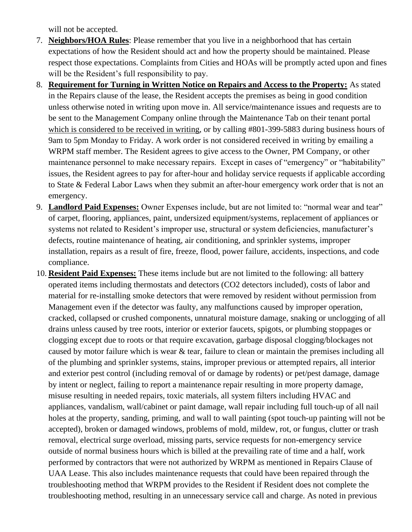will not be accepted.

- 7. **Neighbors/HOA Rules**: Please remember that you live in a neighborhood that has certain expectations of how the Resident should act and how the property should be maintained. Please respect those expectations. Complaints from Cities and HOAs will be promptly acted upon and fines will be the Resident's full responsibility to pay.
- 8. **Requirement for Turning in Written Notice on Repairs and Access to the Property:** As stated in the Repairs clause of the lease, the Resident accepts the premises as being in good condition unless otherwise noted in writing upon move in. All service/maintenance issues and requests are to be sent to the Management Company online through the Maintenance Tab on their tenant portal which is considered to be received in writing, or by calling #801-399-5883 during business hours of 9am to 5pm Monday to Friday. A work order is not considered received in writing by emailing a WRPM staff member. The Resident agrees to give access to the Owner, PM Company, or other maintenance personnel to make necessary repairs. Except in cases of "emergency" or "habitability" issues, the Resident agrees to pay for after-hour and holiday service requests if applicable according to State & Federal Labor Laws when they submit an after-hour emergency work order that is not an emergency.
- 9. **Landlord Paid Expenses:** Owner Expenses include, but are not limited to: "normal wear and tear" of carpet, flooring, appliances, paint, undersized equipment/systems, replacement of appliances or systems not related to Resident's improper use, structural or system deficiencies, manufacturer's defects, routine maintenance of heating, air conditioning, and sprinkler systems, improper installation, repairs as a result of fire, freeze, flood, power failure, accidents, inspections, and code compliance.
- 10. **Resident Paid Expenses:** These items include but are not limited to the following: all battery operated items including thermostats and detectors (CO2 detectors included), costs of labor and material for re-installing smoke detectors that were removed by resident without permission from Management even if the detector was faulty, any malfunctions caused by improper operation, cracked, collapsed or crushed components, unnatural moisture damage, snaking or unclogging of all drains unless caused by tree roots, interior or exterior faucets, spigots, or plumbing stoppages or clogging except due to roots or that require excavation, garbage disposal clogging/blockages not caused by motor failure which is wear & tear, failure to clean or maintain the premises including all of the plumbing and sprinkler systems, stains, improper previous or attempted repairs, all interior and exterior pest control (including removal of or damage by rodents) or pet/pest damage, damage by intent or neglect, failing to report a maintenance repair resulting in more property damage, misuse resulting in needed repairs, toxic materials, all system filters including HVAC and appliances, vandalism, wall/cabinet or paint damage, wall repair including full touch-up of all nail holes at the property, sanding, priming, and wall to wall painting (spot touch-up painting will not be accepted), broken or damaged windows, problems of mold, mildew, rot, or fungus, clutter or trash removal, electrical surge overload, missing parts, service requests for non-emergency service outside of normal business hours which is billed at the prevailing rate of time and a half, work performed by contractors that were not authorized by WRPM as mentioned in Repairs Clause of UAA Lease. This also includes maintenance requests that could have been repaired through the troubleshooting method that WRPM provides to the Resident if Resident does not complete the troubleshooting method, resulting in an unnecessary service call and charge. As noted in previous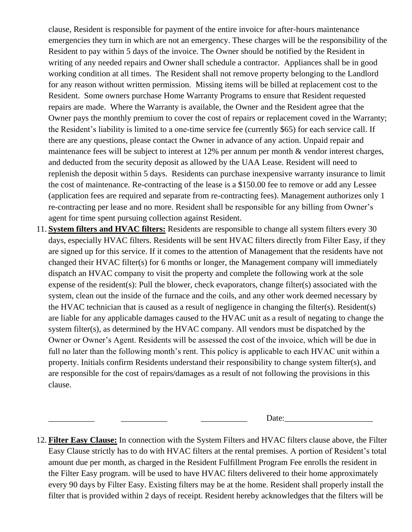clause, Resident is responsible for payment of the entire invoice for after-hours maintenance emergencies they turn in which are not an emergency. These charges will be the responsibility of the Resident to pay within 5 days of the invoice. The Owner should be notified by the Resident in writing of any needed repairs and Owner shall schedule a contractor. Appliances shall be in good working condition at all times. The Resident shall not remove property belonging to the Landlord for any reason without written permission. Missing items will be billed at replacement cost to the Resident. Some owners purchase Home Warranty Programs to ensure that Resident requested repairs are made. Where the Warranty is available, the Owner and the Resident agree that the Owner pays the monthly premium to cover the cost of repairs or replacement coved in the Warranty; the Resident's liability is limited to a one-time service fee (currently \$65) for each service call. If there are any questions, please contact the Owner in advance of any action. Unpaid repair and maintenance fees will be subject to interest at 12% per annum per month & vendor interest charges, and deducted from the security deposit as allowed by the UAA Lease. Resident will need to replenish the deposit within 5 days. Residents can purchase inexpensive warranty insurance to limit the cost of maintenance. Re-contracting of the lease is a \$150.00 fee to remove or add any Lessee (application fees are required and separate from re-contracting fees). Management authorizes only 1 re-contracting per lease and no more. Resident shall be responsible for any billing from Owner's agent for time spent pursuing collection against Resident.

11. **System filters and HVAC filters:** Residents are responsible to change all system filters every 30 days, especially HVAC filters. Residents will be sent HVAC filters directly from Filter Easy, if they are signed up for this service. If it comes to the attention of Management that the residents have not changed their HVAC filter(s) for 6 months or longer, the Management company will immediately dispatch an HVAC company to visit the property and complete the following work at the sole expense of the resident(s): Pull the blower, check evaporators, change filter(s) associated with the system, clean out the inside of the furnace and the coils, and any other work deemed necessary by the HVAC technician that is caused as a result of negligence in changing the filter(s). Resident(s) are liable for any applicable damages caused to the HVAC unit as a result of negating to change the system filter(s), as determined by the HVAC company. All vendors must be dispatched by the Owner or Owner's Agent. Residents will be assessed the cost of the invoice, which will be due in full no later than the following month's rent. This policy is applicable to each HVAC unit within a property. Initials confirm Residents understand their responsibility to change system filter(s), and are responsible for the cost of repairs/damages as a result of not following the provisions in this clause.

Date:

12. **Filter Easy Clause:** In connection with the System Filters and HVAC filters clause above, the Filter Easy Clause strictly has to do with HVAC filters at the rental premises. A portion of Resident's total amount due per month, as charged in the Resident Fulfillment Program Fee enrolls the resident in the Filter Easy program. will be used to have HVAC filters delivered to their home approximately every 90 days by Filter Easy. Existing filters may be at the home. Resident shall properly install the filter that is provided within 2 days of receipt. Resident hereby acknowledges that the filters will be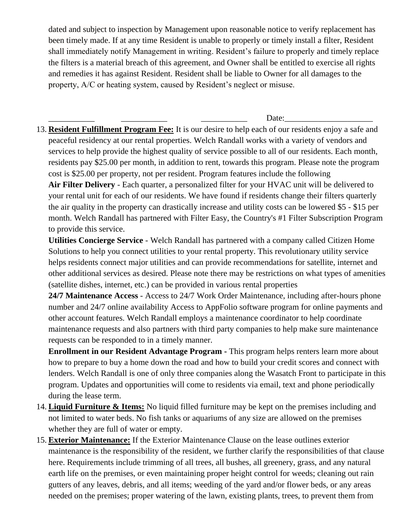dated and subject to inspection by Management upon reasonable notice to verify replacement has been timely made. If at any time Resident is unable to properly or timely install a filter, Resident shall immediately notify Management in writing. Resident's failure to properly and timely replace the filters is a material breach of this agreement, and Owner shall be entitled to exercise all rights and remedies it has against Resident. Resident shall be liable to Owner for all damages to the property, A/C or heating system, caused by Resident's neglect or misuse.

Date:

13. **Resident Fulfillment Program Fee:** It is our desire to help each of our residents enjoy a safe and peaceful residency at our rental properties. Welch Randall works with a variety of vendors and services to help provide the highest quality of service possible to all of our residents. Each month, residents pay \$25.00 per month, in addition to rent, towards this program. Please note the program cost is \$25.00 per property, not per resident. Program features include the following **Air Filter Delivery** - Each quarter, a personalized filter for your HVAC unit will be delivered to your rental unit for each of our residents. We have found if residents change their filters quarterly the air quality in the property can drastically increase and utility costs can be lowered \$5 - \$15 per month. Welch Randall has partnered with Filter Easy, the Country's #1 Filter Subscription Program to provide this service.

**Utilities Concierge Service** - Welch Randall has partnered with a company called Citizen Home Solutions to help you connect utilities to your rental property. This revolutionary utility service helps residents connect major utilities and can provide recommendations for satellite, internet and other additional services as desired. Please note there may be restrictions on what types of amenities (satellite dishes, internet, etc.) can be provided in various rental properties

**24/7 Maintenance Access** - Access to 24/7 Work Order Maintenance, including after-hours phone number and 24/7 online availability Access to AppFolio software program for online payments and other account features. Welch Randall employs a maintenance coordinator to help coordinate maintenance requests and also partners with third party companies to help make sure maintenance requests can be responded to in a timely manner.

**Enrollment in our Resident Advantage Program -** This program helps renters learn more about how to prepare to buy a home down the road and how to build your credit scores and connect with lenders. Welch Randall is one of only three companies along the Wasatch Front to participate in this program. Updates and opportunities will come to residents via email, text and phone periodically during the lease term.

- 14. **Liquid Furniture & Items:** No liquid filled furniture may be kept on the premises including and not limited to water beds. No fish tanks or aquariums of any size are allowed on the premises whether they are full of water or empty.
- 15. **Exterior Maintenance:** If the Exterior Maintenance Clause on the lease outlines exterior maintenance is the responsibility of the resident, we further clarify the responsibilities of that clause here. Requirements include trimming of all trees, all bushes, all greenery, grass, and any natural earth life on the premises, or even maintaining proper height control for weeds; cleaning out rain gutters of any leaves, debris, and all items; weeding of the yard and/or flower beds, or any areas needed on the premises; proper watering of the lawn, existing plants, trees, to prevent them from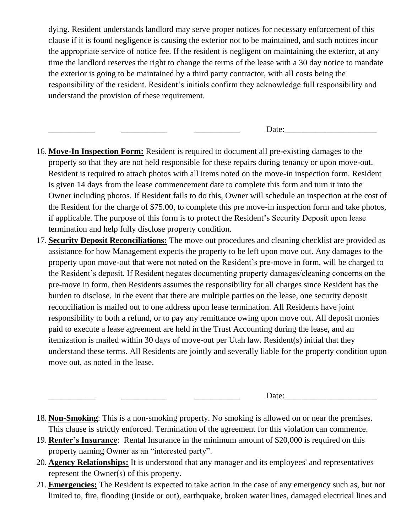dying. Resident understands landlord may serve proper notices for necessary enforcement of this clause if it is found negligence is causing the exterior not to be maintained, and such notices incur the appropriate service of notice fee. If the resident is negligent on maintaining the exterior, at any time the landlord reserves the right to change the terms of the lease with a 30 day notice to mandate the exterior is going to be maintained by a third party contractor, with all costs being the responsibility of the resident. Resident's initials confirm they acknowledge full responsibility and understand the provision of these requirement.

\_\_\_\_\_\_\_\_\_\_\_ \_\_\_\_\_\_\_\_\_\_\_ \_\_\_\_\_\_\_\_\_\_\_ Date:\_\_\_\_\_\_\_\_\_\_\_\_\_\_\_\_\_\_\_\_\_\_

- 16. **Move-In Inspection Form:** Resident is required to document all pre-existing damages to the property so that they are not held responsible for these repairs during tenancy or upon move-out. Resident is required to attach photos with all items noted on the move-in inspection form. Resident is given 14 days from the lease commencement date to complete this form and turn it into the Owner including photos. If Resident fails to do this, Owner will schedule an inspection at the cost of the Resident for the charge of \$75.00, to complete this pre move-in inspection form and take photos, if applicable. The purpose of this form is to protect the Resident's Security Deposit upon lease termination and help fully disclose property condition.
- 17. **Security Deposit Reconciliations:** The move out procedures and cleaning checklist are provided as assistance for how Management expects the property to be left upon move out. Any damages to the property upon move-out that were not noted on the Resident's pre-move in form, will be charged to the Resident's deposit. If Resident negates documenting property damages/cleaning concerns on the pre-move in form, then Residents assumes the responsibility for all charges since Resident has the burden to disclose. In the event that there are multiple parties on the lease, one security deposit reconciliation is mailed out to one address upon lease termination. All Residents have joint responsibility to both a refund, or to pay any remittance owing upon move out. All deposit monies paid to execute a lease agreement are held in the Trust Accounting during the lease, and an itemization is mailed within 30 days of move-out per Utah law. Resident(s) initial that they understand these terms. All Residents are jointly and severally liable for the property condition upon move out, as noted in the lease.

Date:

- 18. **Non-Smoking**: This is a non-smoking property. No smoking is allowed on or near the premises. This clause is strictly enforced. Termination of the agreement for this violation can commence.
- 19. **Renter's Insurance**: Rental Insurance in the minimum amount of \$20,000 is required on this property naming Owner as an "interested party".
- 20. **Agency Relationships:** It is understood that any manager and its employees' and representatives represent the Owner(s) of this property.
- 21. **Emergencies:** The Resident is expected to take action in the case of any emergency such as, but not limited to, fire, flooding (inside or out), earthquake, broken water lines, damaged electrical lines and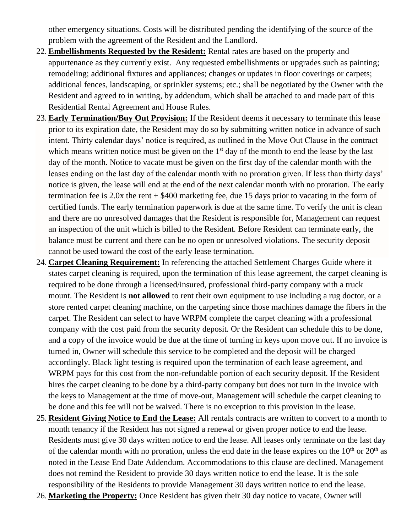other emergency situations. Costs will be distributed pending the identifying of the source of the problem with the agreement of the Resident and the Landlord.

- 22. **Embellishments Requested by the Resident:** Rental rates are based on the property and appurtenance as they currently exist. Any requested embellishments or upgrades such as painting; remodeling; additional fixtures and appliances; changes or updates in floor coverings or carpets; additional fences, landscaping, or sprinkler systems; etc.; shall be negotiated by the Owner with the Resident and agreed to in writing, by addendum, which shall be attached to and made part of this Residential Rental Agreement and House Rules.
- 23. **Early Termination/Buy Out Provision:** If the Resident deems it necessary to terminate this lease prior to its expiration date, the Resident may do so by submitting written notice in advance of such intent. Thirty calendar days' notice is required, as outlined in the Move Out Clause in the contract which means written notice must be given on the 1<sup>st</sup> day of the month to end the lease by the last day of the month. Notice to vacate must be given on the first day of the calendar month with the leases ending on the last day of the calendar month with no proration given. If less than thirty days' notice is given, the lease will end at the end of the next calendar month with no proration. The early termination fee is 2.0x the rent + \$400 marketing fee, due 15 days prior to vacating in the form of certified funds. The early termination paperwork is due at the same time. To verify the unit is clean and there are no unresolved damages that the Resident is responsible for, Management can request an inspection of the unit which is billed to the Resident. Before Resident can terminate early, the balance must be current and there can be no open or unresolved violations. The security deposit cannot be used toward the cost of the early lease termination.
- 24. **Carpet Cleaning Requirement:** In referencing the attached Settlement Charges Guide where it states carpet cleaning is required, upon the termination of this lease agreement, the carpet cleaning is required to be done through a licensed/insured, professional third-party company with a truck mount. The Resident is **not allowed** to rent their own equipment to use including a rug doctor, or a store rented carpet cleaning machine, on the carpeting since those machines damage the fibers in the carpet. The Resident can select to have WRPM complete the carpet cleaning with a professional company with the cost paid from the security deposit. Or the Resident can schedule this to be done, and a copy of the invoice would be due at the time of turning in keys upon move out. If no invoice is turned in, Owner will schedule this service to be completed and the deposit will be charged accordingly. Black light testing is required upon the termination of each lease agreement, and WRPM pays for this cost from the non-refundable portion of each security deposit. If the Resident hires the carpet cleaning to be done by a third-party company but does not turn in the invoice with the keys to Management at the time of move-out, Management will schedule the carpet cleaning to be done and this fee will not be waived. There is no exception to this provision in the lease.
- 25. **Resident Giving Notice to End the Lease:** All rentals contracts are written to convert to a month to month tenancy if the Resident has not signed a renewal or given proper notice to end the lease. Residents must give 30 days written notice to end the lease. All leases only terminate on the last day of the calendar month with no proration, unless the end date in the lease expires on the  $10<sup>th</sup>$  or  $20<sup>th</sup>$  as noted in the Lease End Date Addendum. Accommodations to this clause are declined. Management does not remind the Resident to provide 30 days written notice to end the lease. It is the sole responsibility of the Residents to provide Management 30 days written notice to end the lease.
- 26. **Marketing the Property:** Once Resident has given their 30 day notice to vacate, Owner will